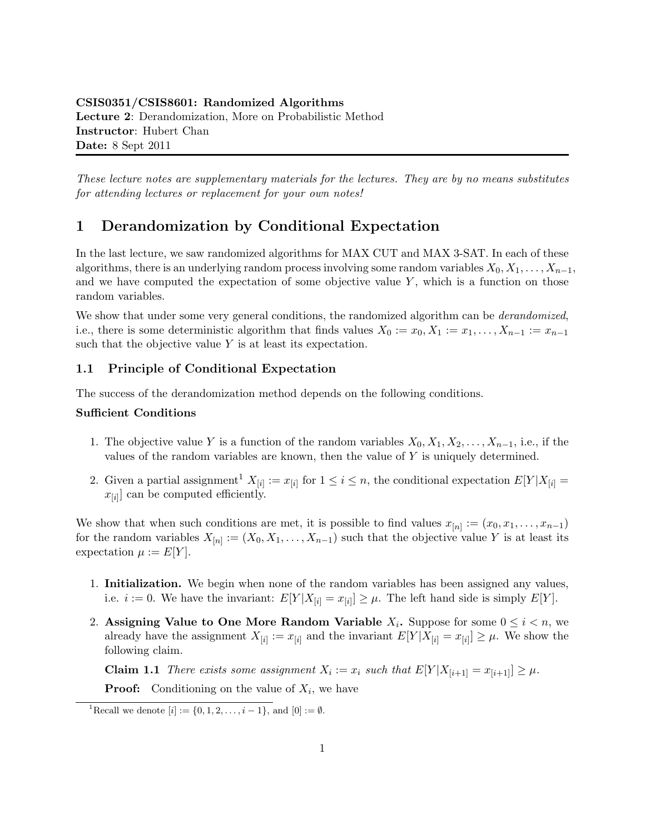These lecture notes are supplementary materials for the lectures. They are by no means substitutes for attending lectures or replacement for your own notes!

# 1 Derandomization by Conditional Expectation

In the last lecture, we saw randomized algorithms for MAX CUT and MAX 3-SAT. In each of these algorithms, there is an underlying random process involving some random variables  $X_0, X_1, \ldots, X_{n-1}$ , and we have computed the expectation of some objective value  $Y$ , which is a function on those random variables.

We show that under some very general conditions, the randomized algorithm can be *derandomized*, i.e., there is some deterministic algorithm that finds values  $X_0 := x_0, X_1 := x_1, \ldots, X_{n-1} := x_{n-1}$ such that the objective value  $Y$  is at least its expectation.

## 1.1 Principle of Conditional Expectation

The success of the derandomization method depends on the following conditions.

#### Sufficient Conditions

- 1. The objective value Y is a function of the random variables  $X_0, X_1, X_2, \ldots, X_{n-1}$ , i.e., if the values of the random variables are known, then the value of  $Y$  is uniquely determined.
- 2. Given a partial assignment<sup>1</sup>  $X_{[i]} := x_{[i]}$  for  $1 \leq i \leq n$ , the conditional expectation  $E[Y|X_{[i]}] =$  $x_{[i]}$  can be computed efficiently.

We show that when such conditions are met, it is possible to find values  $x_{[n]} := (x_0, x_1, \ldots, x_{n-1})$ for the random variables  $X_{[n]} := (X_0, X_1, \ldots, X_{n-1})$  such that the objective value Y is at least its expectation  $\mu := E[Y]$ .

- 1. **Initialization.** We begin when none of the random variables has been assigned any values, i.e.  $i := 0$ . We have the invariant:  $E[Y|X_{[i]} = x_{[i]}] \geq \mu$ . The left hand side is simply  $E[Y]$ .
- 2. Assigning Value to One More Random Variable  $X_i$ . Suppose for some  $0 \leq i < n$ , we already have the assignment  $X_{[i]} := x_{[i]}$  and the invariant  $E[Y|X_{[i]} = x_{[i]}] \geq \mu$ . We show the following claim.

**Claim 1.1** There exists some assignment  $X_i := x_i$  such that  $E[Y|X_{[i+1]} = x_{[i+1]}] \geq \mu$ .

**Proof:** Conditioning on the value of  $X_i$ , we have

<sup>&</sup>lt;sup>1</sup>Recall we denote  $[i] := \{0, 1, 2, \ldots, i - 1\}$ , and  $[0] := \emptyset$ .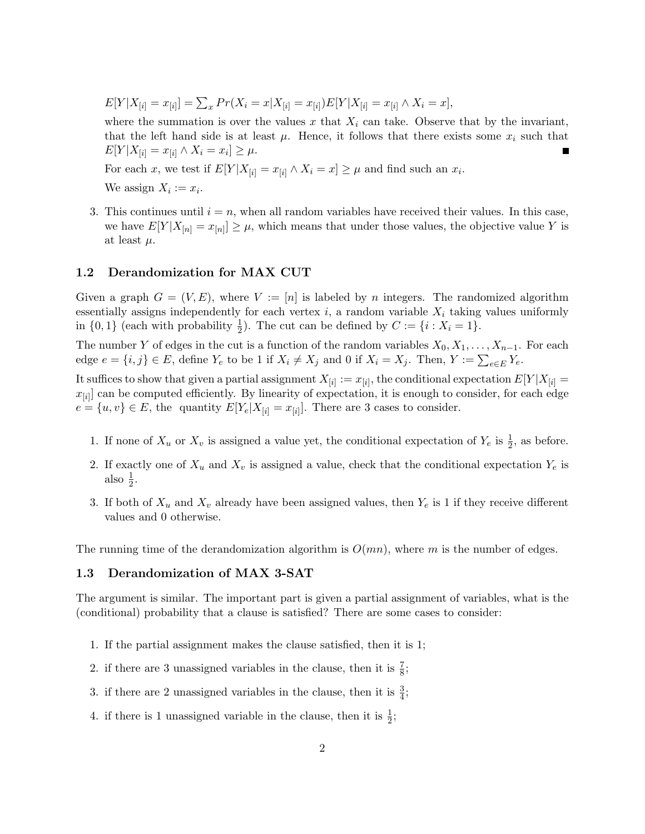$E[Y|X_{[i]} = x_{[i]}] = \sum_x Pr(X_i = x | X_{[i]} = x_{[i]}) E[Y|X_{[i]} = x_{[i]} \wedge X_i = x],$ 

where the summation is over the values x that  $X_i$  can take. Observe that by the invariant, that the left hand side is at least  $\mu$ . Hence, it follows that there exists some  $x_i$  such that  $E[Y|X_{[i]} = x_{[i]} \wedge X_i = x_i] \geq \mu.$ 

For each x, we test if  $E[Y|X_{[i]} = x_{[i]} \wedge X_i = x] \geq \mu$  and find such an  $x_i$ .

We assign  $X_i := x_i$ .

3. This continues until  $i = n$ , when all random variables have received their values. In this case, we have  $E[Y|X_{[n]} = x_{[n]}] \geq \mu$ , which means that under those values, the objective value Y is at least  $\mu$ .

## 1.2 Derandomization for MAX CUT

Given a graph  $G = (V, E)$ , where  $V := [n]$  is labeled by n integers. The randomized algorithm essentially assigns independently for each vertex  $i$ , a random variable  $X_i$  taking values uniformly in  $\{0,1\}$  (each with probability  $\frac{1}{2}$ ). The cut can be defined by  $C := \{i : X_i = 1\}$ .

The number Y of edges in the cut is a function of the random variables  $X_0, X_1, \ldots, X_{n-1}$ . For each edge  $e = \{i, j\} \in E$ , define  $Y_e$  to be 1 if  $X_i \neq X_j$  and 0 if  $X_i = X_j$ . Then,  $Y := \sum_{e \in E} Y_e$ .

It suffices to show that given a partial assignment  $X_{[i]} := x_{[i]}$ , the conditional expectation  $E[Y|X_{[i]}] =$  $x_{[i]}$  can be computed efficiently. By linearity of expectation, it is enough to consider, for each edge  $e = \{u, v\} \in E$ , the quantity  $E[Y_e | X_{[i]} = x_{[i]}].$  There are 3 cases to consider.

- 1. If none of  $X_u$  or  $X_v$  is assigned a value yet, the conditional expectation of  $Y_e$  is  $\frac{1}{2}$ , as before.
- 2. If exactly one of  $X_u$  and  $X_v$  is assigned a value, check that the conditional expectation  $Y_e$  is also  $\frac{1}{2}$ .
- 3. If both of  $X_u$  and  $X_v$  already have been assigned values, then  $Y_e$  is 1 if they receive different values and 0 otherwise.

The running time of the derandomization algorithm is  $O(mn)$ , where m is the number of edges.

## 1.3 Derandomization of MAX 3-SAT

The argument is similar. The important part is given a partial assignment of variables, what is the (conditional) probability that a clause is satisfied? There are some cases to consider:

- 1. If the partial assignment makes the clause satisfied, then it is 1;
- 2. if there are 3 unassigned variables in the clause, then it is  $\frac{7}{8}$ ;
- 3. if there are 2 unassigned variables in the clause, then it is  $\frac{3}{4}$ ;
- 4. if there is 1 unassigned variable in the clause, then it is  $\frac{1}{2}$ ;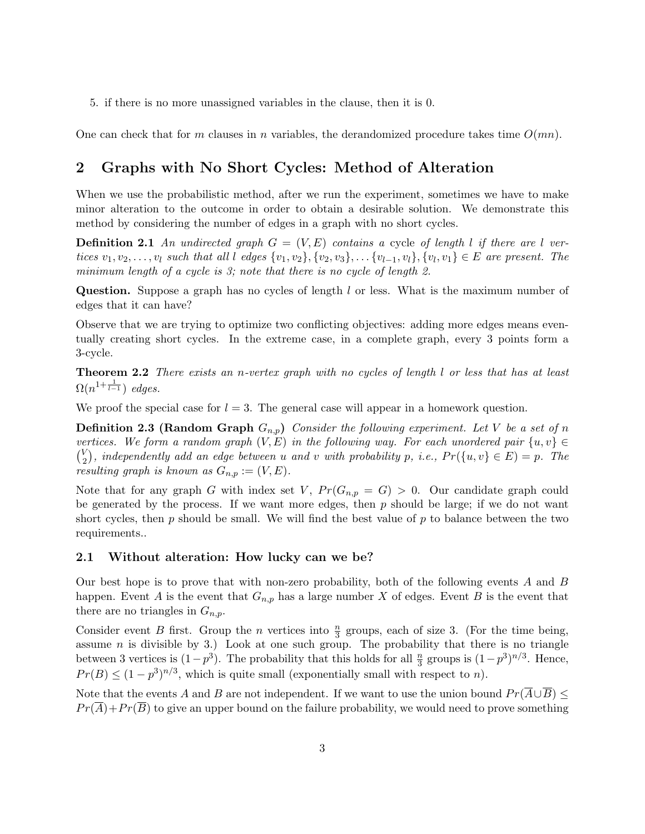5. if there is no more unassigned variables in the clause, then it is 0.

One can check that for m clauses in n variables, the derandomized procedure takes time  $O(mn)$ .

# 2 Graphs with No Short Cycles: Method of Alteration

When we use the probabilistic method, after we run the experiment, sometimes we have to make minor alteration to the outcome in order to obtain a desirable solution. We demonstrate this method by considering the number of edges in a graph with no short cycles.

**Definition 2.1** An undirected graph  $G = (V, E)$  contains a cycle of length l if there are l vertices  $v_1, v_2, \ldots, v_l$  such that all l edges  $\{v_1, v_2\}, \{v_2, v_3\}, \ldots, \{v_{l-1}, v_l\}, \{v_l, v_1\} \in E$  are present. The minimum length of a cycle is 3; note that there is no cycle of length 2.

Question. Suppose a graph has no cycles of length l or less. What is the maximum number of edges that it can have?

Observe that we are trying to optimize two conflicting objectives: adding more edges means eventually creating short cycles. In the extreme case, in a complete graph, every 3 points form a 3-cycle.

**Theorem 2.2** There exists an n-vertex graph with no cycles of length l or less that has at least  $\Omega(n^{1+\frac{1}{l-1}})$  edges.

We proof the special case for  $l = 3$ . The general case will appear in a homework question.

**Definition 2.3 (Random Graph**  $G_{n,p}$ ) Consider the following experiment. Let V be a set of n vertices. We form a random graph  $(V, E)$  in the following way. For each unordered pair  $\{u, v\} \in$  $\binom{V}{2}$  $\binom{V}{2}$ , independently add an edge between u and v with probability p, i.e.,  $Pr(\{u, v\} \in E) = p$ . The resulting graph is known as  $G_{n,p} := (V, E)$ .

Note that for any graph G with index set V,  $Pr(G_{n,p} = G) > 0$ . Our candidate graph could be generated by the process. If we want more edges, then  $p$  should be large; if we do not want short cycles, then  $p$  should be small. We will find the best value of  $p$  to balance between the two requirements..

### 2.1 Without alteration: How lucky can we be?

Our best hope is to prove that with non-zero probability, both of the following events A and B happen. Event A is the event that  $G_{n,p}$  has a large number X of edges. Event B is the event that there are no triangles in  $G_{n,p}$ .

Consider event B first. Group the n vertices into  $\frac{n}{3}$  groups, each of size 3. (For the time being, assume  $n$  is divisible by 3.) Look at one such group. The probability that there is no triangle between 3 vertices is  $(1-p^3)$ . The probability that this holds for all  $\frac{n}{3}$  groups is  $(1-p^3)^{n/3}$ . Hence,  $Pr(B) \leq (1-p^3)^{n/3}$ , which is quite small (exponentially small with respect to n).

Note that the events A and B are not independent. If we want to use the union bound  $Pr(\overline{A} \cup \overline{B}) \le$  $Pr(\overline{A})+Pr(\overline{B})$  to give an upper bound on the failure probability, we would need to prove something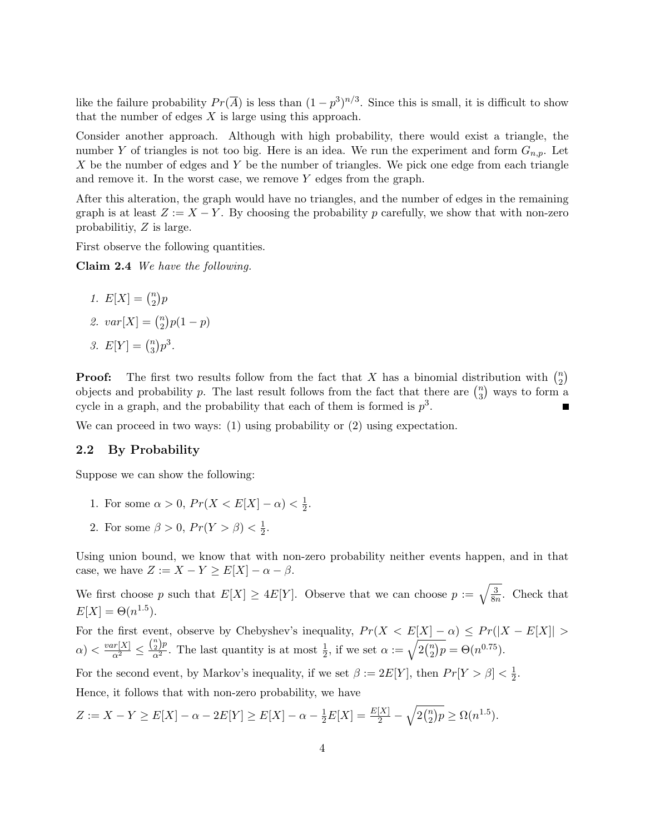like the failure probability  $Pr(\overline{A})$  is less than  $(1-p^3)^{n/3}$ . Since this is small, it is difficult to show that the number of edges  $X$  is large using this approach.

Consider another approach. Although with high probability, there would exist a triangle, the number Y of triangles is not too big. Here is an idea. We run the experiment and form  $G_{n,p}$ . Let  $X$  be the number of edges and  $Y$  be the number of triangles. We pick one edge from each triangle and remove it. In the worst case, we remove  $Y$  edges from the graph.

After this alteration, the graph would have no triangles, and the number of edges in the remaining graph is at least  $Z := X - Y$ . By choosing the probability p carefully, we show that with non-zero probabilitiy, Z is large.

First observe the following quantities.

Claim 2.4 We have the following.

1. 
$$
E[X] = {n \choose 2}p
$$
  
2.  $var[X] = {n \choose 2}p(1)$ 

3.  $E[Y] = \binom{n}{3}$  $n \choose 3} p^3$ .

**Proof:** The first two results follow from the fact that X has a binomial distribution with  $\binom{n}{2}$  $\binom{n}{2}$ objects and probability p. The last result follows from the fact that there are  $\binom{n}{3}$  $\binom{n}{3}$  ways to form a cycle in a graph, and the probability that each of them is formed is  $p^3$ .

We can proceed in two ways: (1) using probability or (2) using expectation.

### 2.2 By Probability

Suppose we can show the following:

1. For some  $\alpha > 0$ ,  $Pr(X < E[X] - \alpha) < \frac{1}{2}$  $\frac{1}{2}$ .

 $-p$ )

2. For some  $\beta > 0$ ,  $Pr(Y > \beta) < \frac{1}{2}$  $\frac{1}{2}$ .

Using union bound, we know that with non-zero probability neither events happen, and in that case, we have  $Z := X - Y \ge E[X] - \alpha - \beta$ .

We first choose p such that  $E[X] \ge 4E[Y]$ . Observe that we can choose  $p := \sqrt{\frac{3}{8r}}$  $\frac{3}{8n}$ . Check that  $E[X] = \Theta(n^{1.5}).$ 

For the first event, observe by Chebyshev's inequality,  $Pr(X < E[X] - \alpha) \leq Pr(|X - E[X]|$  $\alpha$ )  $\lt \frac{var[X]}{\alpha^2} \le \frac{{n \choose 2} p}{\alpha^2}$ . The last quantity is at most  $\frac{1}{2}$ , if we set  $\alpha := \sqrt{2{n \choose 2}}$  $n_2^n$ ) $p = \Theta(n^{0.75})$ .

For the second event, by Markov's inequality, if we set  $\beta := 2E[Y]$ , then  $Pr[Y > \beta] < \frac{1}{2}$  $\frac{1}{2}$ . Hence, it follows that with non-zero probability, we have

$$
Z := X - Y \ge E[X] - \alpha - 2E[Y] \ge E[X] - \alpha - \frac{1}{2}E[X] = \frac{E[X]}{2} - \sqrt{2\binom{n}{2}p} \ge \Omega(n^{1.5}).
$$